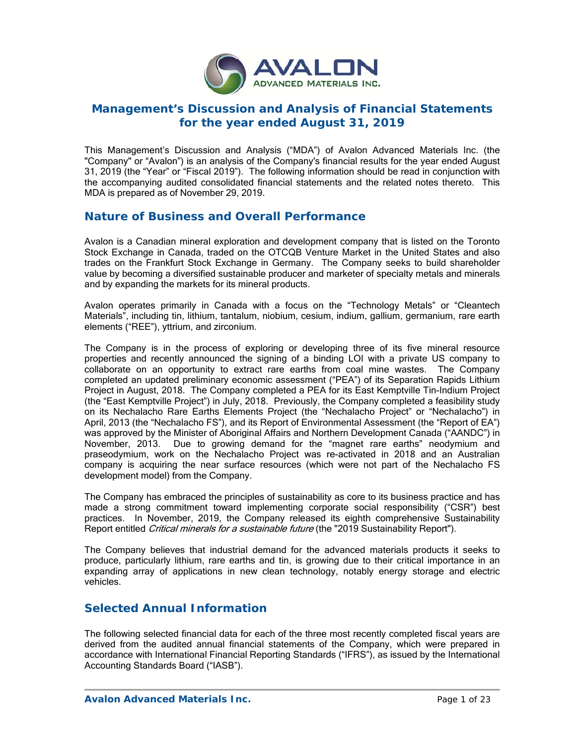

# **Management's Discussion and Analysis of Financial Statements for the year ended August 31, 2019**

This Management's Discussion and Analysis ("MDA") of Avalon Advanced Materials Inc. (the "Company" or "Avalon") is an analysis of the Company's financial results for the year ended August 31, 2019 (the "Year" or "Fiscal 2019"). The following information should be read in conjunction with the accompanying audited consolidated financial statements and the related notes thereto. This MDA is prepared as of November 29, 2019.

# **Nature of Business and Overall Performance**

Avalon is a Canadian mineral exploration and development company that is listed on the Toronto Stock Exchange in Canada, traded on the OTCQB Venture Market in the United States and also trades on the Frankfurt Stock Exchange in Germany. The Company seeks to build shareholder value by becoming a diversified sustainable producer and marketer of specialty metals and minerals and by expanding the markets for its mineral products.

Avalon operates primarily in Canada with a focus on the "Technology Metals" or "Cleantech Materials", including tin, lithium, tantalum, niobium, cesium, indium, gallium, germanium, rare earth elements ("REE"), yttrium, and zirconium.

The Company is in the process of exploring or developing three of its five mineral resource properties and recently announced the signing of a binding LOI with a private US company to collaborate on an opportunity to extract rare earths from coal mine wastes. The Company completed an updated preliminary economic assessment ("PEA") of its Separation Rapids Lithium Project in August, 2018. The Company completed a PEA for its East Kemptville Tin-Indium Project (the "East Kemptville Project") in July, 2018. Previously, the Company completed a feasibility study on its Nechalacho Rare Earths Elements Project (the "Nechalacho Project" or "Nechalacho") in April, 2013 (the "Nechalacho FS"), and its Report of Environmental Assessment (the "Report of EA") was approved by the Minister of Aboriginal Affairs and Northern Development Canada ("AANDC") in November, 2013. Due to growing demand for the "magnet rare earths" neodymium and praseodymium, work on the Nechalacho Project was re-activated in 2018 and an Australian company is acquiring the near surface resources (which were not part of the Nechalacho FS development model) from the Company.

The Company has embraced the principles of sustainability as core to its business practice and has made a strong commitment toward implementing corporate social responsibility ("CSR") best practices. In November, 2019, the Company released its eighth comprehensive Sustainability Report entitled *Critical minerals for a sustainable future* (the "2019 Sustainability Report").

The Company believes that industrial demand for the advanced materials products it seeks to produce, particularly lithium, rare earths and tin, is growing due to their critical importance in an expanding array of applications in new clean technology, notably energy storage and electric vehicles.

# **Selected Annual Information**

The following selected financial data for each of the three most recently completed fiscal years are derived from the audited annual financial statements of the Company, which were prepared in accordance with International Financial Reporting Standards ("IFRS"), as issued by the International Accounting Standards Board ("IASB").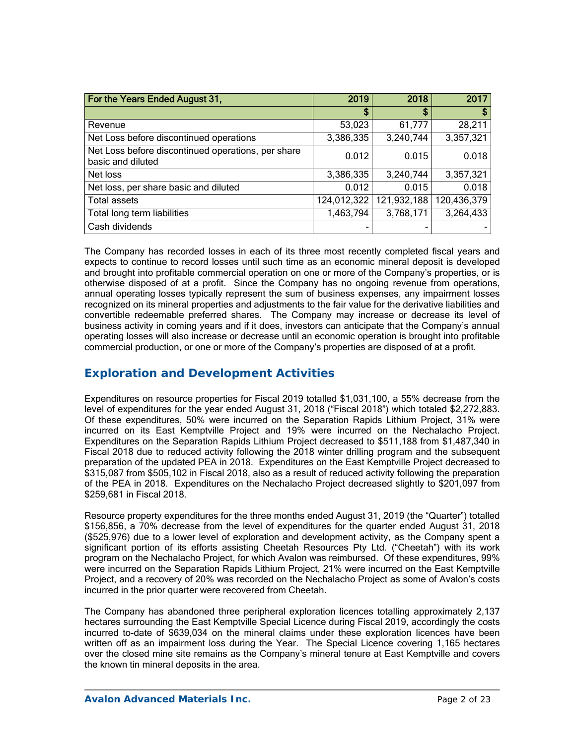| For the Years Ended August 31,                                          | 2019        | 2018        | 2017        |
|-------------------------------------------------------------------------|-------------|-------------|-------------|
|                                                                         | \$          | \$          | S           |
| Revenue                                                                 | 53,023      | 61,777      | 28,211      |
| Net Loss before discontinued operations                                 | 3,386,335   | 3,240,744   | 3,357,321   |
| Net Loss before discontinued operations, per share<br>basic and diluted | 0.012       | 0.015       | 0.018       |
| Net loss                                                                | 3,386,335   | 3,240,744   | 3,357,321   |
| Net loss, per share basic and diluted                                   | 0.012       | 0.015       | 0.018       |
| <b>Total assets</b>                                                     | 124,012,322 | 121,932,188 | 120,436,379 |
| Total long term liabilities                                             | 1,463,794   | 3,768,171   | 3,264,433   |
| Cash dividends                                                          |             |             |             |

The Company has recorded losses in each of its three most recently completed fiscal years and expects to continue to record losses until such time as an economic mineral deposit is developed and brought into profitable commercial operation on one or more of the Company's properties, or is otherwise disposed of at a profit. Since the Company has no ongoing revenue from operations, annual operating losses typically represent the sum of business expenses, any impairment losses recognized on its mineral properties and adjustments to the fair value for the derivative liabilities and convertible redeemable preferred shares. The Company may increase or decrease its level of business activity in coming years and if it does, investors can anticipate that the Company's annual operating losses will also increase or decrease until an economic operation is brought into profitable commercial production, or one or more of the Company's properties are disposed of at a profit.

# **Exploration and Development Activities**

Expenditures on resource properties for Fiscal 2019 totalled \$1,031,100, a 55% decrease from the level of expenditures for the year ended August 31, 2018 ("Fiscal 2018") which totaled \$2,272,883. Of these expenditures, 50% were incurred on the Separation Rapids Lithium Project, 31% were incurred on its East Kemptville Project and 19% were incurred on the Nechalacho Project. Expenditures on the Separation Rapids Lithium Project decreased to \$511,188 from \$1,487,340 in Fiscal 2018 due to reduced activity following the 2018 winter drilling program and the subsequent preparation of the updated PEA in 2018. Expenditures on the East Kemptville Project decreased to \$315,087 from \$505,102 in Fiscal 2018, also as a result of reduced activity following the preparation of the PEA in 2018. Expenditures on the Nechalacho Project decreased slightly to \$201,097 from \$259,681 in Fiscal 2018.

Resource property expenditures for the three months ended August 31, 2019 (the "Quarter") totalled \$156,856, a 70% decrease from the level of expenditures for the quarter ended August 31, 2018 (\$525,976) due to a lower level of exploration and development activity, as the Company spent a significant portion of its efforts assisting Cheetah Resources Pty Ltd. ("Cheetah") with its work program on the Nechalacho Project, for which Avalon was reimbursed. Of these expenditures, 99% were incurred on the Separation Rapids Lithium Project, 21% were incurred on the East Kemptville Project, and a recovery of 20% was recorded on the Nechalacho Project as some of Avalon's costs incurred in the prior quarter were recovered from Cheetah.

The Company has abandoned three peripheral exploration licences totalling approximately 2,137 hectares surrounding the East Kemptville Special Licence during Fiscal 2019, accordingly the costs incurred to-date of \$639,034 on the mineral claims under these exploration licences have been written off as an impairment loss during the Year. The Special Licence covering 1,165 hectares over the closed mine site remains as the Company's mineral tenure at East Kemptville and covers the known tin mineral deposits in the area.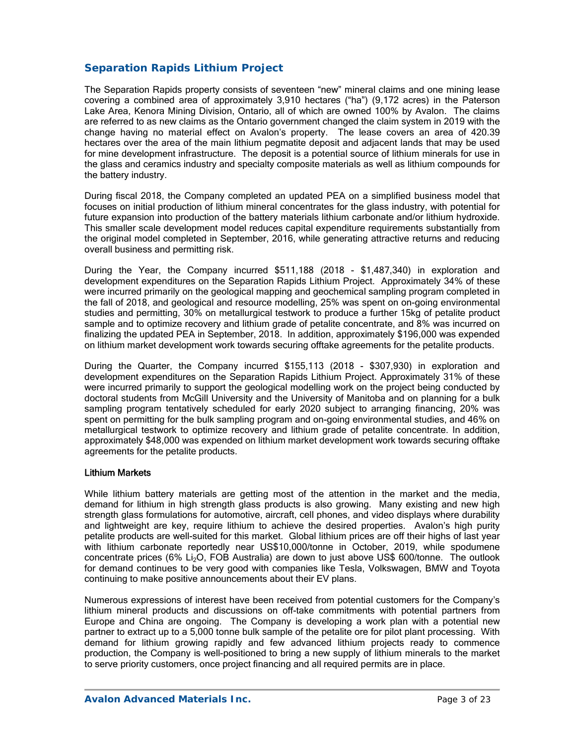## *Separation Rapids Lithium Project*

The Separation Rapids property consists of seventeen "new" mineral claims and one mining lease covering a combined area of approximately 3,910 hectares ("ha") (9,172 acres) in the Paterson Lake Area, Kenora Mining Division, Ontario, all of which are owned 100% by Avalon. The claims are referred to as new claims as the Ontario government changed the claim system in 2019 with the change having no material effect on Avalon's property. The lease covers an area of 420.39 hectares over the area of the main lithium pegmatite deposit and adjacent lands that may be used for mine development infrastructure. The deposit is a potential source of lithium minerals for use in the glass and ceramics industry and specialty composite materials as well as lithium compounds for the battery industry.

During fiscal 2018, the Company completed an updated PEA on a simplified business model that focuses on initial production of lithium mineral concentrates for the glass industry, with potential for future expansion into production of the battery materials lithium carbonate and/or lithium hydroxide. This smaller scale development model reduces capital expenditure requirements substantially from the original model completed in September, 2016, while generating attractive returns and reducing overall business and permitting risk.

During the Year, the Company incurred \$511,188 (2018 - \$1,487,340) in exploration and development expenditures on the Separation Rapids Lithium Project. Approximately 34% of these were incurred primarily on the geological mapping and geochemical sampling program completed in the fall of 2018, and geological and resource modelling, 25% was spent on on-going environmental studies and permitting, 30% on metallurgical testwork to produce a further 15kg of petalite product sample and to optimize recovery and lithium grade of petalite concentrate, and 8% was incurred on finalizing the updated PEA in September, 2018. In addition, approximately \$196,000 was expended on lithium market development work towards securing offtake agreements for the petalite products.

During the Quarter, the Company incurred \$155,113 (2018 - \$307,930) in exploration and development expenditures on the Separation Rapids Lithium Project. Approximately 31% of these were incurred primarily to support the geological modelling work on the project being conducted by doctoral students from McGill University and the University of Manitoba and on planning for a bulk sampling program tentatively scheduled for early 2020 subject to arranging financing, 20% was spent on permitting for the bulk sampling program and on-going environmental studies, and 46% on metallurgical testwork to optimize recovery and lithium grade of petalite concentrate. In addition, approximately \$48,000 was expended on lithium market development work towards securing offtake agreements for the petalite products.

### Lithium Markets

While lithium battery materials are getting most of the attention in the market and the media, demand for lithium in high strength glass products is also growing. Many existing and new high strength glass formulations for automotive, aircraft, cell phones, and video displays where durability and lightweight are key, require lithium to achieve the desired properties. Avalon's high purity petalite products are well-suited for this market. Global lithium prices are off their highs of last year with lithium carbonate reportedly near US\$10,000/tonne in October, 2019, while spodumene concentrate prices (6% Li<sub>2</sub>O, FOB Australia) are down to just above US\$ 600/tonne. The outlook for demand continues to be very good with companies like Tesla, Volkswagen, BMW and Toyota continuing to make positive announcements about their EV plans.

Numerous expressions of interest have been received from potential customers for the Company's lithium mineral products and discussions on off-take commitments with potential partners from Europe and China are ongoing. The Company is developing a work plan with a potential new partner to extract up to a 5,000 tonne bulk sample of the petalite ore for pilot plant processing. With demand for lithium growing rapidly and few advanced lithium projects ready to commence production, the Company is well-positioned to bring a new supply of lithium minerals to the market to serve priority customers, once project financing and all required permits are in place.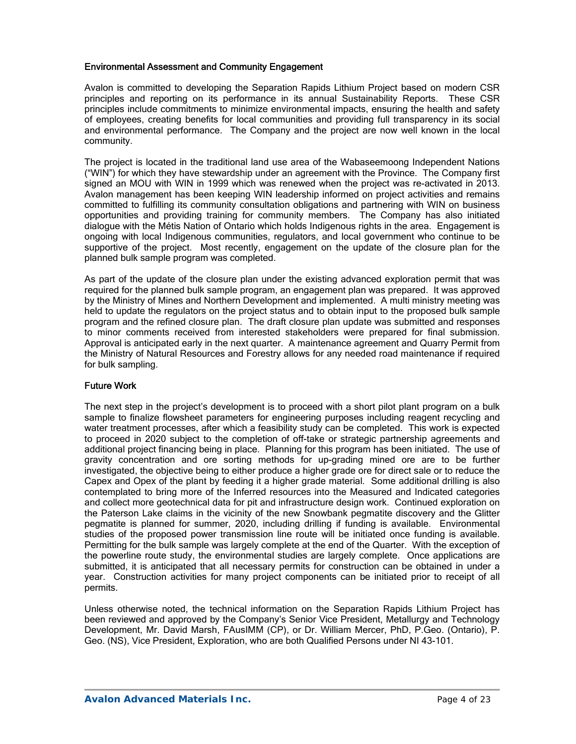### Environmental Assessment and Community Engagement

Avalon is committed to developing the Separation Rapids Lithium Project based on modern CSR principles and reporting on its performance in its annual Sustainability Reports. These CSR principles include commitments to minimize environmental impacts, ensuring the health and safety of employees, creating benefits for local communities and providing full transparency in its social and environmental performance. The Company and the project are now well known in the local community.

The project is located in the traditional land use area of the Wabaseemoong Independent Nations ("WIN") for which they have stewardship under an agreement with the Province. The Company first signed an MOU with WIN in 1999 which was renewed when the project was re-activated in 2013. Avalon management has been keeping WIN leadership informed on project activities and remains committed to fulfilling its community consultation obligations and partnering with WIN on business opportunities and providing training for community members. The Company has also initiated dialogue with the Métis Nation of Ontario which holds Indigenous rights in the area. Engagement is ongoing with local Indigenous communities, regulators, and local government who continue to be supportive of the project. Most recently, engagement on the update of the closure plan for the planned bulk sample program was completed.

As part of the update of the closure plan under the existing advanced exploration permit that was required for the planned bulk sample program, an engagement plan was prepared. It was approved by the Ministry of Mines and Northern Development and implemented. A multi ministry meeting was held to update the regulators on the project status and to obtain input to the proposed bulk sample program and the refined closure plan. The draft closure plan update was submitted and responses to minor comments received from interested stakeholders were prepared for final submission. Approval is anticipated early in the next quarter. A maintenance agreement and Quarry Permit from the Ministry of Natural Resources and Forestry allows for any needed road maintenance if required for bulk sampling.

### Future Work

The next step in the project's development is to proceed with a short pilot plant program on a bulk sample to finalize flowsheet parameters for engineering purposes including reagent recycling and water treatment processes, after which a feasibility study can be completed. This work is expected to proceed in 2020 subject to the completion of off-take or strategic partnership agreements and additional project financing being in place. Planning for this program has been initiated. The use of gravity concentration and ore sorting methods for up-grading mined ore are to be further investigated, the objective being to either produce a higher grade ore for direct sale or to reduce the Capex and Opex of the plant by feeding it a higher grade material. Some additional drilling is also contemplated to bring more of the Inferred resources into the Measured and Indicated categories and collect more geotechnical data for pit and infrastructure design work. Continued exploration on the Paterson Lake claims in the vicinity of the new Snowbank pegmatite discovery and the Glitter pegmatite is planned for summer, 2020, including drilling if funding is available. Environmental studies of the proposed power transmission line route will be initiated once funding is available. Permitting for the bulk sample was largely complete at the end of the Quarter. With the exception of the powerline route study, the environmental studies are largely complete. Once applications are submitted, it is anticipated that all necessary permits for construction can be obtained in under a year. Construction activities for many project components can be initiated prior to receipt of all permits.

Unless otherwise noted, the technical information on the Separation Rapids Lithium Project has been reviewed and approved by the Company's Senior Vice President, Metallurgy and Technology Development, Mr. David Marsh, FAusIMM (CP), or Dr. William Mercer, PhD, P.Geo. (Ontario), P. Geo. (NS), Vice President, Exploration, who are both Qualified Persons under NI 43-101.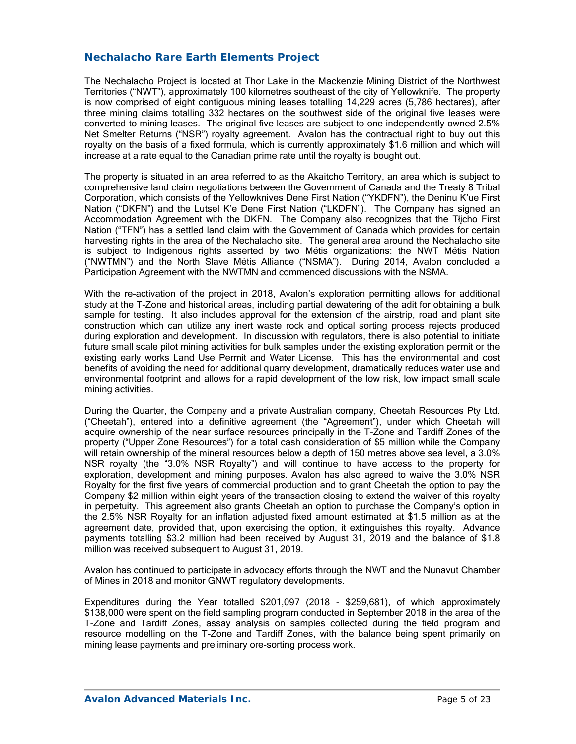## **Nechalacho Rare Earth Elements Project**

The Nechalacho Project is located at Thor Lake in the Mackenzie Mining District of the Northwest Territories ("NWT"), approximately 100 kilometres southeast of the city of Yellowknife. The property is now comprised of eight contiguous mining leases totalling 14,229 acres (5,786 hectares), after three mining claims totalling 332 hectares on the southwest side of the original five leases were converted to mining leases. The original five leases are subject to one independently owned 2.5% Net Smelter Returns ("NSR") royalty agreement. Avalon has the contractual right to buy out this royalty on the basis of a fixed formula, which is currently approximately \$1.6 million and which will increase at a rate equal to the Canadian prime rate until the royalty is bought out.

The property is situated in an area referred to as the Akaitcho Territory, an area which is subject to comprehensive land claim negotiations between the Government of Canada and the Treaty 8 Tribal Corporation, which consists of the Yellowknives Dene First Nation ("YKDFN"), the Deninu K'ue First Nation ("DKFN") and the Lutsel K'e Dene First Nation ("LKDFN"). The Company has signed an Accommodation Agreement with the DKFN. The Company also recognizes that the Tłįcho First Nation ("TFN") has a settled land claim with the Government of Canada which provides for certain harvesting rights in the area of the Nechalacho site. The general area around the Nechalacho site is subject to Indigenous rights asserted by two Métis organizations: the NWT Métis Nation ("NWTMN") and the North Slave Métis Alliance ("NSMA"). During 2014, Avalon concluded a Participation Agreement with the NWTMN and commenced discussions with the NSMA.

With the re-activation of the project in 2018, Avalon's exploration permitting allows for additional study at the T-Zone and historical areas, including partial dewatering of the adit for obtaining a bulk sample for testing. It also includes approval for the extension of the airstrip, road and plant site construction which can utilize any inert waste rock and optical sorting process rejects produced during exploration and development. In discussion with regulators, there is also potential to initiate future small scale pilot mining activities for bulk samples under the existing exploration permit or the existing early works Land Use Permit and Water License. This has the environmental and cost benefits of avoiding the need for additional quarry development, dramatically reduces water use and environmental footprint and allows for a rapid development of the low risk, low impact small scale mining activities.

During the Quarter, the Company and a private Australian company, Cheetah Resources Pty Ltd. ("Cheetah"), entered into a definitive agreement (the "Agreement"), under which Cheetah will acquire ownership of the near surface resources principally in the T-Zone and Tardiff Zones of the property ("Upper Zone Resources") for a total cash consideration of \$5 million while the Company will retain ownership of the mineral resources below a depth of 150 metres above sea level, a 3.0% NSR royalty (the "3.0% NSR Royalty") and will continue to have access to the property for exploration, development and mining purposes. Avalon has also agreed to waive the 3.0% NSR Royalty for the first five years of commercial production and to grant Cheetah the option to pay the Company \$2 million within eight years of the transaction closing to extend the waiver of this royalty in perpetuity. This agreement also grants Cheetah an option to purchase the Company's option in the 2.5% NSR Royalty for an inflation adjusted fixed amount estimated at \$1.5 million as at the agreement date, provided that, upon exercising the option, it extinguishes this royalty. Advance payments totalling \$3.2 million had been received by August 31, 2019 and the balance of \$1.8 million was received subsequent to August 31, 2019.

Avalon has continued to participate in advocacy efforts through the NWT and the Nunavut Chamber of Mines in 2018 and monitor GNWT regulatory developments.

Expenditures during the Year totalled \$201,097 (2018 - \$259,681), of which approximately \$138,000 were spent on the field sampling program conducted in September 2018 in the area of the T-Zone and Tardiff Zones, assay analysis on samples collected during the field program and resource modelling on the T-Zone and Tardiff Zones, with the balance being spent primarily on mining lease payments and preliminary ore-sorting process work.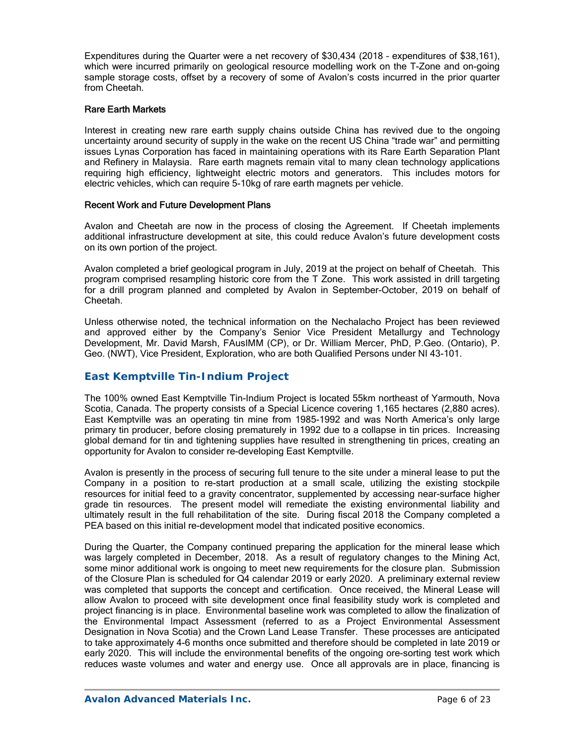Expenditures during the Quarter were a net recovery of \$30,434 (2018 – expenditures of \$38,161), which were incurred primarily on geological resource modelling work on the T-Zone and on-going sample storage costs, offset by a recovery of some of Avalon's costs incurred in the prior quarter from Cheetah.

### Rare Earth Markets

Interest in creating new rare earth supply chains outside China has revived due to the ongoing uncertainty around security of supply in the wake on the recent US China "trade war" and permitting issues Lynas Corporation has faced in maintaining operations with its Rare Earth Separation Plant and Refinery in Malaysia. Rare earth magnets remain vital to many clean technology applications requiring high efficiency, lightweight electric motors and generators. This includes motors for electric vehicles, which can require 5-10kg of rare earth magnets per vehicle.

### Recent Work and Future Development Plans

Avalon and Cheetah are now in the process of closing the Agreement. If Cheetah implements additional infrastructure development at site, this could reduce Avalon's future development costs on its own portion of the project.

Avalon completed a brief geological program in July, 2019 at the project on behalf of Cheetah. This program comprised resampling historic core from the T Zone. This work assisted in drill targeting for a drill program planned and completed by Avalon in September-October, 2019 on behalf of Cheetah.

Unless otherwise noted, the technical information on the Nechalacho Project has been reviewed and approved either by the Company's Senior Vice President Metallurgy and Technology Development, Mr. David Marsh, FAusIMM (CP), or Dr. William Mercer, PhD, P.Geo. (Ontario), P. Geo. (NWT), Vice President, Exploration, who are both Qualified Persons under NI 43-101.

### *East Kemptville Tin-Indium Project*

The 100% owned East Kemptville Tin-Indium Project is located 55km northeast of Yarmouth, Nova Scotia, Canada. The property consists of a Special Licence covering 1,165 hectares (2,880 acres). East Kemptville was an operating tin mine from 1985-1992 and was North America's only large primary tin producer, before closing prematurely in 1992 due to a collapse in tin prices. Increasing global demand for tin and tightening supplies have resulted in strengthening tin prices, creating an opportunity for Avalon to consider re-developing East Kemptville.

Avalon is presently in the process of securing full tenure to the site under a mineral lease to put the Company in a position to re-start production at a small scale, utilizing the existing stockpile resources for initial feed to a gravity concentrator, supplemented by accessing near-surface higher grade tin resources. The present model will remediate the existing environmental liability and ultimately result in the full rehabilitation of the site. During fiscal 2018 the Company completed a PEA based on this initial re-development model that indicated positive economics.

During the Quarter, the Company continued preparing the application for the mineral lease which was largely completed in December, 2018. As a result of regulatory changes to the Mining Act, some minor additional work is ongoing to meet new requirements for the closure plan. Submission of the Closure Plan is scheduled for Q4 calendar 2019 or early 2020. A preliminary external review was completed that supports the concept and certification. Once received, the Mineral Lease will allow Avalon to proceed with site development once final feasibility study work is completed and project financing is in place. Environmental baseline work was completed to allow the finalization of the Environmental Impact Assessment (referred to as a Project Environmental Assessment Designation in Nova Scotia) and the Crown Land Lease Transfer. These processes are anticipated to take approximately 4-6 months once submitted and therefore should be completed in late 2019 or early 2020. This will include the environmental benefits of the ongoing ore-sorting test work which reduces waste volumes and water and energy use. Once all approvals are in place, financing is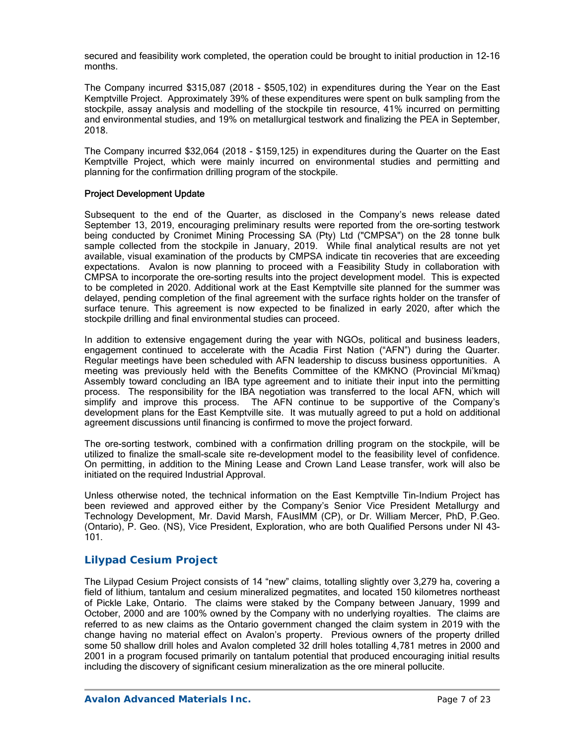secured and feasibility work completed, the operation could be brought to initial production in 12-16 months.

The Company incurred \$315,087 (2018 - \$505,102) in expenditures during the Year on the East Kemptville Project. Approximately 39% of these expenditures were spent on bulk sampling from the stockpile, assay analysis and modelling of the stockpile tin resource, 41% incurred on permitting and environmental studies, and 19% on metallurgical testwork and finalizing the PEA in September, 2018.

The Company incurred \$32,064 (2018 - \$159,125) in expenditures during the Quarter on the East Kemptville Project, which were mainly incurred on environmental studies and permitting and planning for the confirmation drilling program of the stockpile.

### Project Development Update

Subsequent to the end of the Quarter, as disclosed in the Company's news release dated September 13, 2019, encouraging preliminary results were reported from the ore-sorting testwork being conducted by Cronimet Mining Processing SA (Pty) Ltd ("CMPSA") on the 28 tonne bulk sample collected from the stockpile in January, 2019. While final analytical results are not yet available, visual examination of the products by CMPSA indicate tin recoveries that are exceeding expectations. Avalon is now planning to proceed with a Feasibility Study in collaboration with CMPSA to incorporate the ore-sorting results into the project development model. This is expected to be completed in 2020. Additional work at the East Kemptville site planned for the summer was delayed, pending completion of the final agreement with the surface rights holder on the transfer of surface tenure. This agreement is now expected to be finalized in early 2020, after which the stockpile drilling and final environmental studies can proceed.

In addition to extensive engagement during the year with NGOs, political and business leaders, engagement continued to accelerate with the Acadia First Nation ("AFN") during the Quarter. Regular meetings have been scheduled with AFN leadership to discuss business opportunities. A meeting was previously held with the Benefits Committee of the KMKNO (Provincial Mi'kmaq) Assembly toward concluding an IBA type agreement and to initiate their input into the permitting process. The responsibility for the IBA negotiation was transferred to the local AFN, which will simplify and improve this process. The AFN continue to be supportive of the Company's development plans for the East Kemptville site. It was mutually agreed to put a hold on additional agreement discussions until financing is confirmed to move the project forward.

The ore-sorting testwork, combined with a confirmation drilling program on the stockpile, will be utilized to finalize the small-scale site re-development model to the feasibility level of confidence. On permitting, in addition to the Mining Lease and Crown Land Lease transfer, work will also be initiated on the required Industrial Approval.

Unless otherwise noted, the technical information on the East Kemptville Tin-Indium Project has been reviewed and approved either by the Company's Senior Vice President Metallurgy and Technology Development, Mr. David Marsh, FAusIMM (CP), or Dr. William Mercer, PhD, P.Geo. (Ontario), P. Geo. (NS), Vice President, Exploration, who are both Qualified Persons under NI 43- 101.

## *Lilypad Cesium Project*

The Lilypad Cesium Project consists of 14 "new" claims, totalling slightly over 3,279 ha, covering a field of lithium, tantalum and cesium mineralized pegmatites, and located 150 kilometres northeast of Pickle Lake, Ontario. The claims were staked by the Company between January, 1999 and October, 2000 and are 100% owned by the Company with no underlying royalties. The claims are referred to as new claims as the Ontario government changed the claim system in 2019 with the change having no material effect on Avalon's property. Previous owners of the property drilled some 50 shallow drill holes and Avalon completed 32 drill holes totalling 4,781 metres in 2000 and 2001 in a program focused primarily on tantalum potential that produced encouraging initial results including the discovery of significant cesium mineralization as the ore mineral pollucite.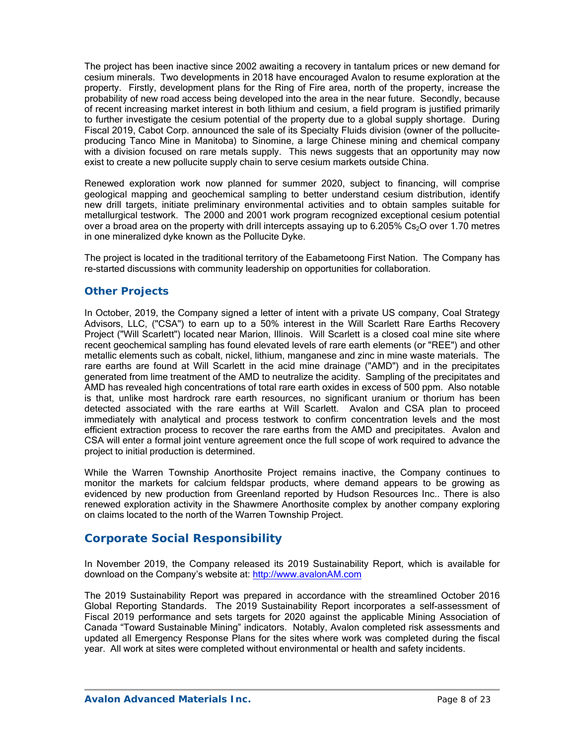The project has been inactive since 2002 awaiting a recovery in tantalum prices or new demand for cesium minerals. Two developments in 2018 have encouraged Avalon to resume exploration at the property. Firstly, development plans for the Ring of Fire area, north of the property, increase the probability of new road access being developed into the area in the near future. Secondly, because of recent increasing market interest in both lithium and cesium, a field program is justified primarily to further investigate the cesium potential of the property due to a global supply shortage. During Fiscal 2019, Cabot Corp. announced the sale of its Specialty Fluids division (owner of the polluciteproducing Tanco Mine in Manitoba) to Sinomine, a large Chinese mining and chemical company with a division focused on rare metals supply. This news suggests that an opportunity may now exist to create a new pollucite supply chain to serve cesium markets outside China.

Renewed exploration work now planned for summer 2020, subject to financing, will comprise geological mapping and geochemical sampling to better understand cesium distribution, identify new drill targets, initiate preliminary environmental activities and to obtain samples suitable for metallurgical testwork. The 2000 and 2001 work program recognized exceptional cesium potential over a broad area on the property with drill intercepts assaying up to  $6.205\%$  Cs<sub>2</sub>O over 1.70 metres in one mineralized dyke known as the Pollucite Dyke.

The project is located in the traditional territory of the Eabametoong First Nation. The Company has re-started discussions with community leadership on opportunities for collaboration.

## *Other Projects*

In October, 2019, the Company signed a letter of intent with a private US company, Coal Strategy Advisors, LLC, ("CSA") to earn up to a 50% interest in the Will Scarlett Rare Earths Recovery Project ("Will Scarlett") located near Marion, Illinois. Will Scarlett is a closed coal mine site where recent geochemical sampling has found elevated levels of rare earth elements (or "REE") and other metallic elements such as cobalt, nickel, lithium, manganese and zinc in mine waste materials. The rare earths are found at Will Scarlett in the acid mine drainage ("AMD") and in the precipitates generated from lime treatment of the AMD to neutralize the acidity. Sampling of the precipitates and AMD has revealed high concentrations of total rare earth oxides in excess of 500 ppm. Also notable is that, unlike most hardrock rare earth resources, no significant uranium or thorium has been detected associated with the rare earths at Will Scarlett. Avalon and CSA plan to proceed immediately with analytical and process testwork to confirm concentration levels and the most efficient extraction process to recover the rare earths from the AMD and precipitates. Avalon and CSA will enter a formal joint venture agreement once the full scope of work required to advance the project to initial production is determined.

While the Warren Township Anorthosite Project remains inactive, the Company continues to monitor the markets for calcium feldspar products, where demand appears to be growing as evidenced by new production from Greenland reported by Hudson Resources Inc.. There is also renewed exploration activity in the Shawmere Anorthosite complex by another company exploring on claims located to the north of the Warren Township Project.

# **Corporate Social Responsibility**

In November 2019, the Company released its 2019 Sustainability Report, which is available for download on the Company's website at: http://www.avalonAM.com

The 2019 Sustainability Report was prepared in accordance with the streamlined October 2016 Global Reporting Standards. The 2019 Sustainability Report incorporates a self-assessment of Fiscal 2019 performance and sets targets for 2020 against the applicable Mining Association of Canada "Toward Sustainable Mining" indicators. Notably, Avalon completed risk assessments and updated all Emergency Response Plans for the sites where work was completed during the fiscal year. All work at sites were completed without environmental or health and safety incidents.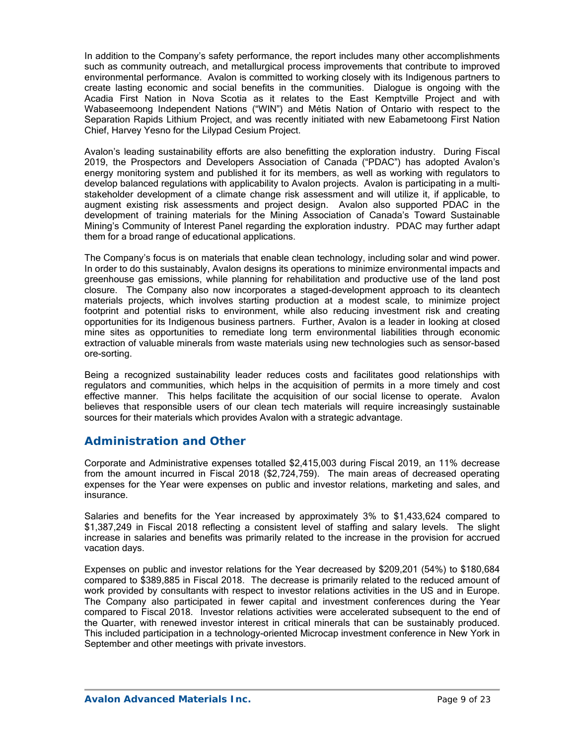In addition to the Company's safety performance, the report includes many other accomplishments such as community outreach, and metallurgical process improvements that contribute to improved environmental performance. Avalon is committed to working closely with its Indigenous partners to create lasting economic and social benefits in the communities. Dialogue is ongoing with the Acadia First Nation in Nova Scotia as it relates to the East Kemptville Project and with Wabaseemoong Independent Nations ("WIN") and Métis Nation of Ontario with respect to the Separation Rapids Lithium Project, and was recently initiated with new Eabametoong First Nation Chief, Harvey Yesno for the Lilypad Cesium Project.

Avalon's leading sustainability efforts are also benefitting the exploration industry. During Fiscal 2019, the Prospectors and Developers Association of Canada ("PDAC") has adopted Avalon's energy monitoring system and published it for its members, as well as working with regulators to develop balanced regulations with applicability to Avalon projects. Avalon is participating in a multistakeholder development of a climate change risk assessment and will utilize it, if applicable, to augment existing risk assessments and project design. Avalon also supported PDAC in the development of training materials for the Mining Association of Canada's Toward Sustainable Mining's Community of Interest Panel regarding the exploration industry. PDAC may further adapt them for a broad range of educational applications.

The Company's focus is on materials that enable clean technology, including solar and wind power. In order to do this sustainably, Avalon designs its operations to minimize environmental impacts and greenhouse gas emissions, while planning for rehabilitation and productive use of the land post closure. The Company also now incorporates a staged-development approach to its cleantech materials projects, which involves starting production at a modest scale, to minimize project footprint and potential risks to environment, while also reducing investment risk and creating opportunities for its Indigenous business partners. Further, Avalon is a leader in looking at closed mine sites as opportunities to remediate long term environmental liabilities through economic extraction of valuable minerals from waste materials using new technologies such as sensor-based ore-sorting.

Being a recognized sustainability leader reduces costs and facilitates good relationships with regulators and communities, which helps in the acquisition of permits in a more timely and cost effective manner. This helps facilitate the acquisition of our social license to operate. Avalon believes that responsible users of our clean tech materials will require increasingly sustainable sources for their materials which provides Avalon with a strategic advantage.

# **Administration and Other**

Corporate and Administrative expenses totalled \$2,415,003 during Fiscal 2019, an 11% decrease from the amount incurred in Fiscal 2018 (\$2,724,759). The main areas of decreased operating expenses for the Year were expenses on public and investor relations, marketing and sales, and insurance.

Salaries and benefits for the Year increased by approximately 3% to \$1,433,624 compared to \$1,387,249 in Fiscal 2018 reflecting a consistent level of staffing and salary levels. The slight increase in salaries and benefits was primarily related to the increase in the provision for accrued vacation days.

Expenses on public and investor relations for the Year decreased by \$209,201 (54%) to \$180,684 compared to \$389,885 in Fiscal 2018. The decrease is primarily related to the reduced amount of work provided by consultants with respect to investor relations activities in the US and in Europe. The Company also participated in fewer capital and investment conferences during the Year compared to Fiscal 2018. Investor relations activities were accelerated subsequent to the end of the Quarter, with renewed investor interest in critical minerals that can be sustainably produced. This included participation in a technology-oriented Microcap investment conference in New York in September and other meetings with private investors.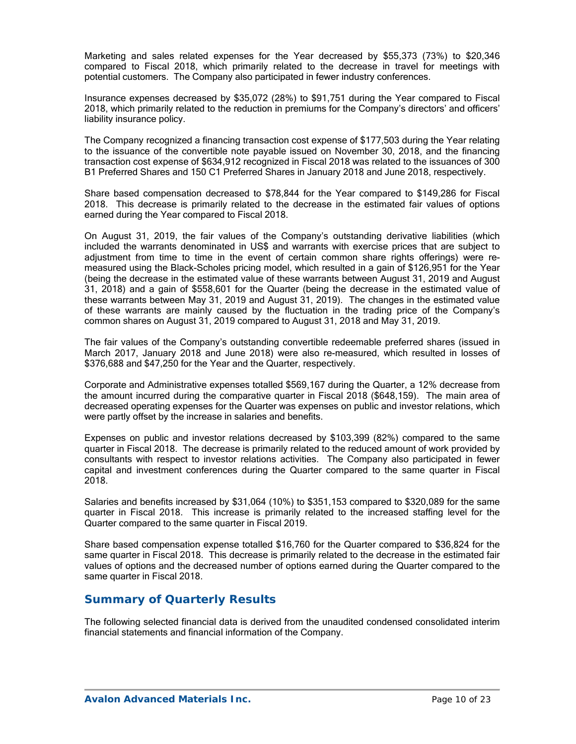Marketing and sales related expenses for the Year decreased by \$55,373 (73%) to \$20,346 compared to Fiscal 2018, which primarily related to the decrease in travel for meetings with potential customers. The Company also participated in fewer industry conferences.

Insurance expenses decreased by \$35,072 (28%) to \$91,751 during the Year compared to Fiscal 2018, which primarily related to the reduction in premiums for the Company's directors' and officers' liability insurance policy.

The Company recognized a financing transaction cost expense of \$177,503 during the Year relating to the issuance of the convertible note payable issued on November 30, 2018, and the financing transaction cost expense of \$634,912 recognized in Fiscal 2018 was related to the issuances of 300 B1 Preferred Shares and 150 C1 Preferred Shares in January 2018 and June 2018, respectively.

Share based compensation decreased to \$78,844 for the Year compared to \$149,286 for Fiscal 2018. This decrease is primarily related to the decrease in the estimated fair values of options earned during the Year compared to Fiscal 2018.

On August 31, 2019, the fair values of the Company's outstanding derivative liabilities (which included the warrants denominated in US\$ and warrants with exercise prices that are subject to adjustment from time to time in the event of certain common share rights offerings) were remeasured using the Black-Scholes pricing model, which resulted in a gain of \$126,951 for the Year (being the decrease in the estimated value of these warrants between August 31, 2019 and August 31, 2018) and a gain of \$558,601 for the Quarter (being the decrease in the estimated value of these warrants between May 31, 2019 and August 31, 2019). The changes in the estimated value of these warrants are mainly caused by the fluctuation in the trading price of the Company's common shares on August 31, 2019 compared to August 31, 2018 and May 31, 2019.

The fair values of the Company's outstanding convertible redeemable preferred shares (issued in March 2017, January 2018 and June 2018) were also re-measured, which resulted in losses of \$376,688 and \$47,250 for the Year and the Quarter, respectively.

Corporate and Administrative expenses totalled \$569,167 during the Quarter, a 12% decrease from the amount incurred during the comparative quarter in Fiscal 2018 (\$648,159). The main area of decreased operating expenses for the Quarter was expenses on public and investor relations, which were partly offset by the increase in salaries and benefits.

Expenses on public and investor relations decreased by \$103,399 (82%) compared to the same quarter in Fiscal 2018. The decrease is primarily related to the reduced amount of work provided by consultants with respect to investor relations activities. The Company also participated in fewer capital and investment conferences during the Quarter compared to the same quarter in Fiscal 2018.

Salaries and benefits increased by \$31,064 (10%) to \$351,153 compared to \$320,089 for the same quarter in Fiscal 2018. This increase is primarily related to the increased staffing level for the Quarter compared to the same quarter in Fiscal 2019.

Share based compensation expense totalled \$16,760 for the Quarter compared to \$36,824 for the same quarter in Fiscal 2018. This decrease is primarily related to the decrease in the estimated fair values of options and the decreased number of options earned during the Quarter compared to the same quarter in Fiscal 2018.

# **Summary of Quarterly Results**

The following selected financial data is derived from the unaudited condensed consolidated interim financial statements and financial information of the Company.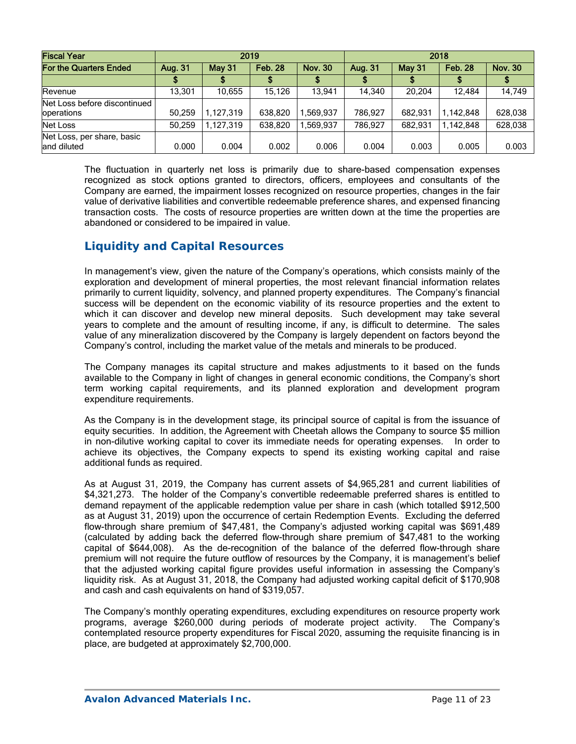| <b>Fiscal Year</b>                         | 2019    |               |                | 2018           |         |               |                |                |
|--------------------------------------------|---------|---------------|----------------|----------------|---------|---------------|----------------|----------------|
| For the Quarters Ended                     | Aug. 31 | <b>May 31</b> | <b>Feb. 28</b> | <b>Nov. 30</b> | Aug. 31 | <b>May 31</b> | <b>Feb. 28</b> | <b>Nov. 30</b> |
|                                            |         |               |                |                |         |               |                |                |
| Revenue                                    | 13.301  | 10,655        | 15,126         | 13.941         | 14.340  | 20.204        | 12.484         | 14,749         |
| Net Loss before discontinued<br>operations | 50,259  | 1,127,319     | 638,820        | .569.937       | 786.927 | 682.931       | 1,142,848      | 628,038        |
| Net Loss                                   | 50,259  | 1.127.319     | 638,820        | .569.937       | 786.927 | 682.931       | 1.142.848      | 628,038        |
| Net Loss, per share, basic<br>land diluted | 0.000   | 0.004         | 0.002          | 0.006          | 0.004   | 0.003         | 0.005          | 0.003          |

The fluctuation in quarterly net loss is primarily due to share-based compensation expenses recognized as stock options granted to directors, officers, employees and consultants of the Company are earned, the impairment losses recognized on resource properties, changes in the fair value of derivative liabilities and convertible redeemable preference shares, and expensed financing transaction costs. The costs of resource properties are written down at the time the properties are abandoned or considered to be impaired in value.

# **Liquidity and Capital Resources**

In management's view, given the nature of the Company's operations, which consists mainly of the exploration and development of mineral properties, the most relevant financial information relates primarily to current liquidity, solvency, and planned property expenditures. The Company's financial success will be dependent on the economic viability of its resource properties and the extent to which it can discover and develop new mineral deposits. Such development may take several years to complete and the amount of resulting income, if any, is difficult to determine. The sales value of any mineralization discovered by the Company is largely dependent on factors beyond the Company's control, including the market value of the metals and minerals to be produced.

The Company manages its capital structure and makes adjustments to it based on the funds available to the Company in light of changes in general economic conditions, the Company's short term working capital requirements, and its planned exploration and development program expenditure requirements.

As the Company is in the development stage, its principal source of capital is from the issuance of equity securities. In addition, the Agreement with Cheetah allows the Company to source \$5 million in non-dilutive working capital to cover its immediate needs for operating expenses. In order to achieve its objectives, the Company expects to spend its existing working capital and raise additional funds as required.

As at August 31, 2019, the Company has current assets of \$4,965,281 and current liabilities of \$4,321,273. The holder of the Company's convertible redeemable preferred shares is entitled to demand repayment of the applicable redemption value per share in cash (which totalled \$912,500 as at August 31, 2019) upon the occurrence of certain Redemption Events. Excluding the deferred flow-through share premium of \$47,481, the Company's adjusted working capital was \$691,489 (calculated by adding back the deferred flow-through share premium of \$47,481 to the working capital of \$644,008). As the de-recognition of the balance of the deferred flow-through share premium will not require the future outflow of resources by the Company, it is management's belief that the adjusted working capital figure provides useful information in assessing the Company's liquidity risk. As at August 31, 2018, the Company had adjusted working capital deficit of \$170,908 and cash and cash equivalents on hand of \$319,057.

The Company's monthly operating expenditures, excluding expenditures on resource property work programs, average \$260,000 during periods of moderate project activity. The Company's contemplated resource property expenditures for Fiscal 2020, assuming the requisite financing is in place, are budgeted at approximately \$2,700,000.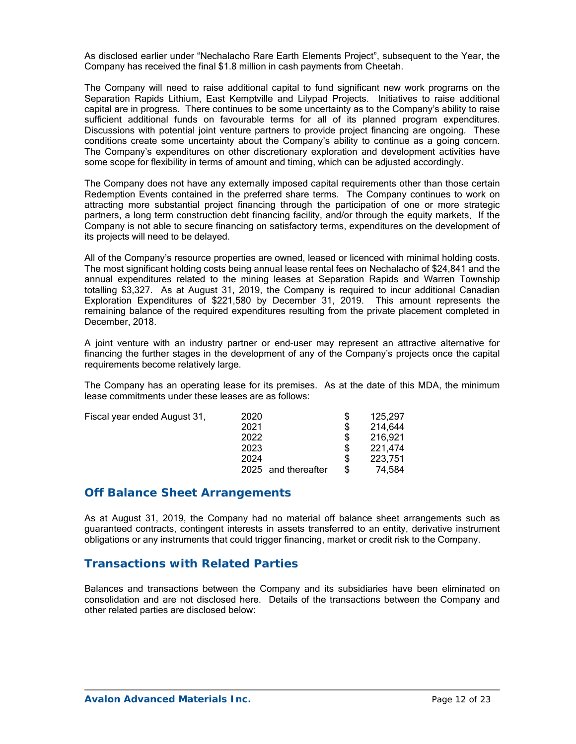As disclosed earlier under "Nechalacho Rare Earth Elements Project", subsequent to the Year, the Company has received the final \$1.8 million in cash payments from Cheetah.

The Company will need to raise additional capital to fund significant new work programs on the Separation Rapids Lithium, East Kemptville and Lilypad Projects. Initiatives to raise additional capital are in progress. There continues to be some uncertainty as to the Company's ability to raise sufficient additional funds on favourable terms for all of its planned program expenditures. Discussions with potential joint venture partners to provide project financing are ongoing. These conditions create some uncertainty about the Company's ability to continue as a going concern. The Company's expenditures on other discretionary exploration and development activities have some scope for flexibility in terms of amount and timing, which can be adjusted accordingly.

The Company does not have any externally imposed capital requirements other than those certain Redemption Events contained in the preferred share terms. The Company continues to work on attracting more substantial project financing through the participation of one or more strategic partners, a long term construction debt financing facility, and/or through the equity markets. If the Company is not able to secure financing on satisfactory terms, expenditures on the development of its projects will need to be delayed.

All of the Company's resource properties are owned, leased or licenced with minimal holding costs. The most significant holding costs being annual lease rental fees on Nechalacho of \$24,841 and the annual expenditures related to the mining leases at Separation Rapids and Warren Township totalling \$3,327. As at August 31, 2019, the Company is required to incur additional Canadian Exploration Expenditures of \$221,580 by December 31, 2019. This amount represents the remaining balance of the required expenditures resulting from the private placement completed in December, 2018.

A joint venture with an industry partner or end-user may represent an attractive alternative for financing the further stages in the development of any of the Company's projects once the capital requirements become relatively large.

The Company has an operating lease for its premises. As at the date of this MDA, the minimum lease commitments under these leases are as follows:

Fiscal year ended August 31, 2020 \$ 125,297

| ∼∽∽                 | ັ | 120.LV  |
|---------------------|---|---------|
| 2021                | S | 214,644 |
| 2022                | S | 216,921 |
| 2023                | S | 221,474 |
| 2024                | S | 223.751 |
| 2025 and thereafter | S | 74.584  |
|                     |   |         |

## **Off Balance Sheet Arrangements**

As at August 31, 2019, the Company had no material off balance sheet arrangements such as guaranteed contracts, contingent interests in assets transferred to an entity, derivative instrument obligations or any instruments that could trigger financing, market or credit risk to the Company.

# **Transactions with Related Parties**

Balances and transactions between the Company and its subsidiaries have been eliminated on consolidation and are not disclosed here. Details of the transactions between the Company and other related parties are disclosed below: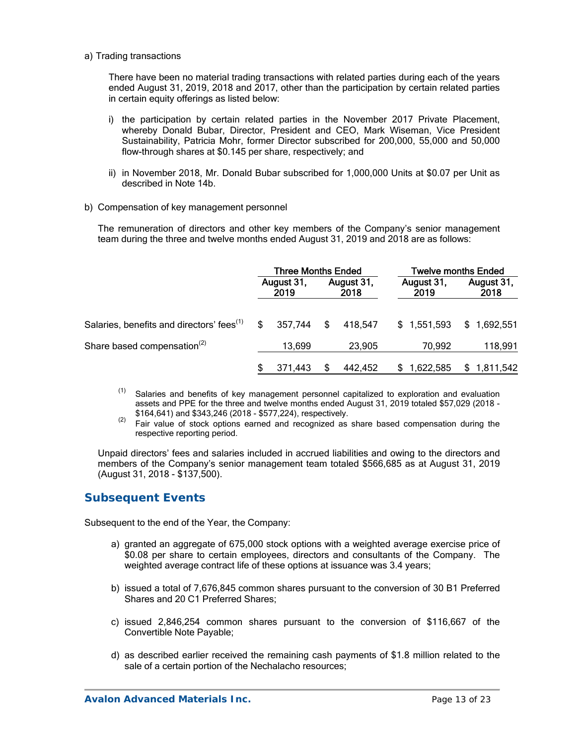a) Trading transactions

There have been no material trading transactions with related parties during each of the years ended August 31, 2019, 2018 and 2017, other than the participation by certain related parties in certain equity offerings as listed below:

- i) the participation by certain related parties in the November 2017 Private Placement, whereby Donald Bubar, Director, President and CEO, Mark Wiseman, Vice President Sustainability, Patricia Mohr, former Director subscribed for 200,000, 55,000 and 50,000 flow-through shares at \$0.145 per share, respectively; and
- ii) in November 2018, Mr. Donald Bubar subscribed for 1,000,000 Units at \$0.07 per Unit as described in Note 14b.
- b) Compensation of key management personnel

The remuneration of directors and other key members of the Company's senior management team during the three and twelve months ended August 31, 2019 and 2018 are as follows:

|                                                       | <b>Three Months Ended</b> |                    |    |                    | <b>Twelve months Ended</b> |                    |  |
|-------------------------------------------------------|---------------------------|--------------------|----|--------------------|----------------------------|--------------------|--|
|                                                       |                           | August 31,<br>2019 |    | August 31,<br>2018 | August 31,<br>2019         | August 31,<br>2018 |  |
| Salaries, benefits and directors' fees <sup>(1)</sup> | \$                        | 357.744            | \$ | 418.547            | \$1,551,593                | \$1,692,551        |  |
| Share based compensation <sup>(2)</sup>               |                           | 13,699             |    | 23,905             | 70,992                     | 118,991            |  |
|                                                       |                           | 371,443            |    | 442.452            | 1,622,585                  | 1,811,542          |  |

- $(1)$  Salaries and benefits of key management personnel capitalized to exploration and evaluation assets and PPE for the three and twelve months ended August 31, 2019 totaled \$57,029 (2018 -
- \$164,641) and \$343,246 (2018 \$577,224), respectively.<br><sup>(2)</sup> Fair value of stock options earned and recognized as share based compensation during the respective reporting period.

Unpaid directors' fees and salaries included in accrued liabilities and owing to the directors and members of the Company's senior management team totaled \$566,685 as at August 31, 2019 (August 31, 2018 - \$137,500).

## **Subsequent Events**

Subsequent to the end of the Year, the Company:

- a) granted an aggregate of 675,000 stock options with a weighted average exercise price of \$0.08 per share to certain employees, directors and consultants of the Company. The weighted average contract life of these options at issuance was 3.4 years;
- b) issued a total of 7,676,845 common shares pursuant to the conversion of 30 B1 Preferred Shares and 20 C1 Preferred Shares;
- c) issued 2,846,254 common shares pursuant to the conversion of \$116,667 of the Convertible Note Payable;
- d) as described earlier received the remaining cash payments of \$1.8 million related to the sale of a certain portion of the Nechalacho resources;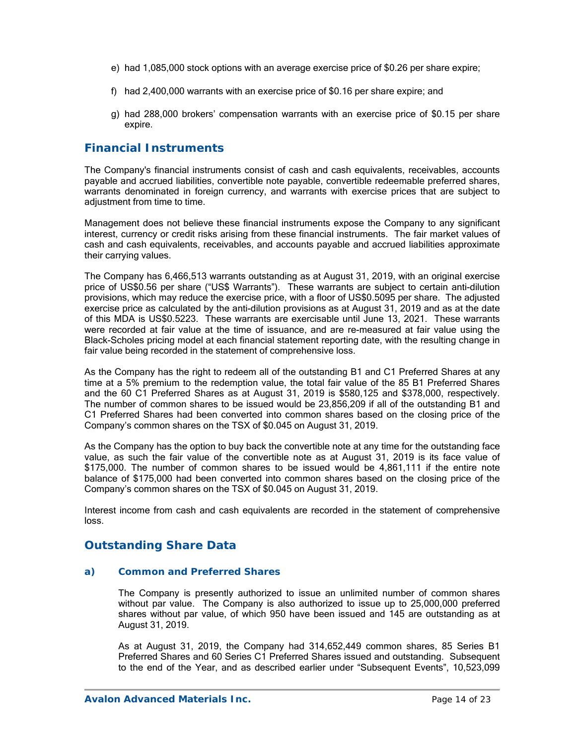- e) had 1,085,000 stock options with an average exercise price of \$0.26 per share expire;
- f) had 2,400,000 warrants with an exercise price of \$0.16 per share expire; and
- g) had 288,000 brokers' compensation warrants with an exercise price of \$0.15 per share expire.

## **Financial Instruments**

The Company's financial instruments consist of cash and cash equivalents, receivables, accounts payable and accrued liabilities, convertible note payable, convertible redeemable preferred shares, warrants denominated in foreign currency, and warrants with exercise prices that are subject to adjustment from time to time.

Management does not believe these financial instruments expose the Company to any significant interest, currency or credit risks arising from these financial instruments. The fair market values of cash and cash equivalents, receivables, and accounts payable and accrued liabilities approximate their carrying values.

The Company has 6,466,513 warrants outstanding as at August 31, 2019, with an original exercise price of US\$0.56 per share ("US\$ Warrants"). These warrants are subject to certain anti-dilution provisions, which may reduce the exercise price, with a floor of US\$0.5095 per share. The adjusted exercise price as calculated by the anti-dilution provisions as at August 31, 2019 and as at the date of this MDA is US\$0.5223. These warrants are exercisable until June 13, 2021. These warrants were recorded at fair value at the time of issuance, and are re-measured at fair value using the Black-Scholes pricing model at each financial statement reporting date, with the resulting change in fair value being recorded in the statement of comprehensive loss.

As the Company has the right to redeem all of the outstanding B1 and C1 Preferred Shares at any time at a 5% premium to the redemption value, the total fair value of the 85 B1 Preferred Shares and the 60 C1 Preferred Shares as at August 31, 2019 is \$580,125 and \$378,000, respectively. The number of common shares to be issued would be 23,856,209 if all of the outstanding B1 and C1 Preferred Shares had been converted into common shares based on the closing price of the Company's common shares on the TSX of \$0.045 on August 31, 2019.

As the Company has the option to buy back the convertible note at any time for the outstanding face value, as such the fair value of the convertible note as at August 31, 2019 is its face value of \$175,000. The number of common shares to be issued would be 4,861,111 if the entire note balance of \$175,000 had been converted into common shares based on the closing price of the Company's common shares on the TSX of \$0.045 on August 31, 2019.

Interest income from cash and cash equivalents are recorded in the statement of comprehensive loss.

# **Outstanding Share Data**

### *a) Common and Preferred Shares*

The Company is presently authorized to issue an unlimited number of common shares without par value. The Company is also authorized to issue up to 25,000,000 preferred shares without par value, of which 950 have been issued and 145 are outstanding as at August 31, 2019.

As at August 31, 2019, the Company had 314,652,449 common shares, 85 Series B1 Preferred Shares and 60 Series C1 Preferred Shares issued and outstanding. Subsequent to the end of the Year, and as described earlier under "Subsequent Events", 10,523,099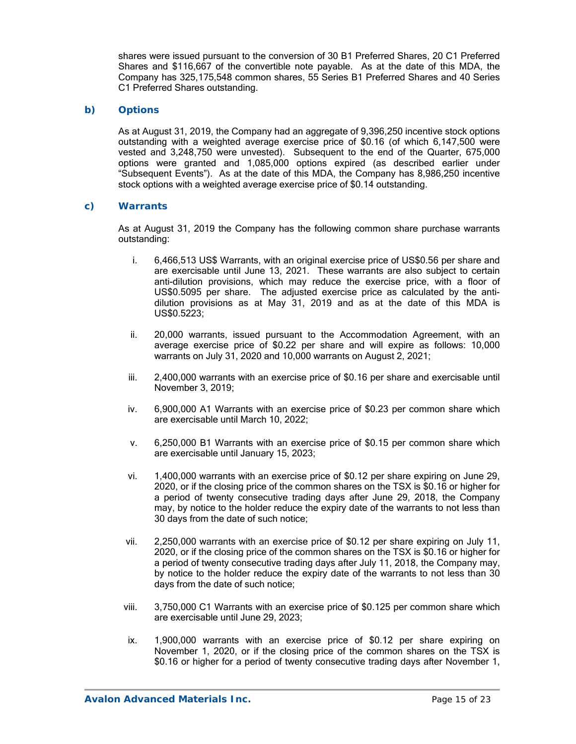shares were issued pursuant to the conversion of 30 B1 Preferred Shares, 20 C1 Preferred Shares and \$116,667 of the convertible note payable. As at the date of this MDA, the Company has 325,175,548 common shares, 55 Series B1 Preferred Shares and 40 Series C1 Preferred Shares outstanding.

### *b) Options*

As at August 31, 2019, the Company had an aggregate of 9,396,250 incentive stock options outstanding with a weighted average exercise price of \$0.16 (of which 6,147,500 were vested and 3,248,750 were unvested). Subsequent to the end of the Quarter, 675,000 options were granted and 1,085,000 options expired (as described earlier under "Subsequent Events"). As at the date of this MDA, the Company has 8,986,250 incentive stock options with a weighted average exercise price of \$0.14 outstanding.

### *c) Warrants*

As at August 31, 2019 the Company has the following common share purchase warrants outstanding:

- i. 6,466,513 US\$ Warrants, with an original exercise price of US\$0.56 per share and are exercisable until June 13, 2021. These warrants are also subject to certain anti-dilution provisions, which may reduce the exercise price, with a floor of US\$0.5095 per share. The adjusted exercise price as calculated by the antidilution provisions as at May 31, 2019 and as at the date of this MDA is US\$0.5223;
- ii. 20,000 warrants, issued pursuant to the Accommodation Agreement, with an average exercise price of \$0.22 per share and will expire as follows: 10,000 warrants on July 31, 2020 and 10,000 warrants on August 2, 2021;
- iii. 2,400,000 warrants with an exercise price of \$0.16 per share and exercisable until November 3, 2019;
- iv. 6,900,000 A1 Warrants with an exercise price of \$0.23 per common share which are exercisable until March 10, 2022;
- v. 6,250,000 B1 Warrants with an exercise price of \$0.15 per common share which are exercisable until January 15, 2023;
- vi. 1,400,000 warrants with an exercise price of \$0.12 per share expiring on June 29, 2020, or if the closing price of the common shares on the TSX is \$0.16 or higher for a period of twenty consecutive trading days after June 29, 2018, the Company may, by notice to the holder reduce the expiry date of the warrants to not less than 30 days from the date of such notice;
- vii. 2,250,000 warrants with an exercise price of \$0.12 per share expiring on July 11, 2020, or if the closing price of the common shares on the TSX is \$0.16 or higher for a period of twenty consecutive trading days after July 11, 2018, the Company may, by notice to the holder reduce the expiry date of the warrants to not less than 30 days from the date of such notice;
- viii. 3,750,000 C1 Warrants with an exercise price of \$0.125 per common share which are exercisable until June 29, 2023;
- ix. 1,900,000 warrants with an exercise price of \$0.12 per share expiring on November 1, 2020, or if the closing price of the common shares on the TSX is \$0.16 or higher for a period of twenty consecutive trading days after November 1,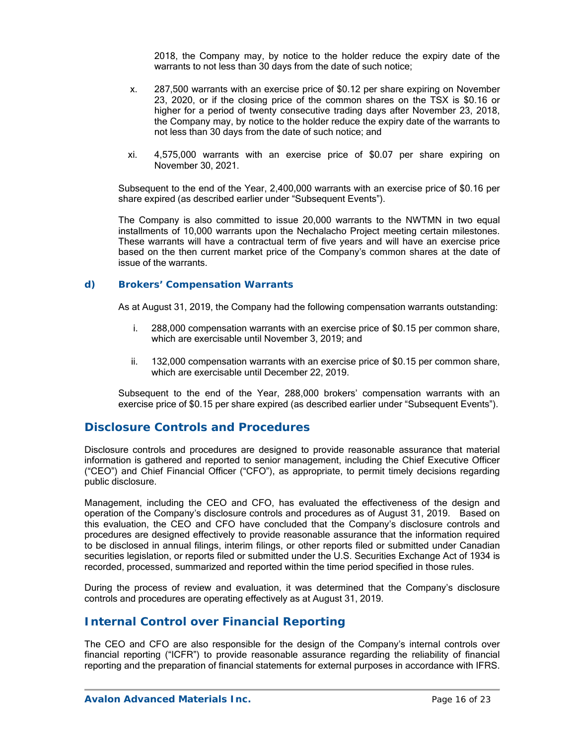2018, the Company may, by notice to the holder reduce the expiry date of the warrants to not less than 30 days from the date of such notice;

- x. 287,500 warrants with an exercise price of \$0.12 per share expiring on November 23, 2020, or if the closing price of the common shares on the TSX is \$0.16 or higher for a period of twenty consecutive trading days after November 23, 2018, the Company may, by notice to the holder reduce the expiry date of the warrants to not less than 30 days from the date of such notice; and
- xi. 4,575,000 warrants with an exercise price of \$0.07 per share expiring on November 30, 2021.

Subsequent to the end of the Year, 2,400,000 warrants with an exercise price of \$0.16 per share expired (as described earlier under "Subsequent Events").

The Company is also committed to issue 20,000 warrants to the NWTMN in two equal installments of 10,000 warrants upon the Nechalacho Project meeting certain milestones. These warrants will have a contractual term of five years and will have an exercise price based on the then current market price of the Company's common shares at the date of issue of the warrants.

#### *d) Brokers' Compensation Warrants*

As at August 31, 2019, the Company had the following compensation warrants outstanding:

- i. 288,000 compensation warrants with an exercise price of \$0.15 per common share, which are exercisable until November 3, 2019; and
- ii. 132,000 compensation warrants with an exercise price of \$0.15 per common share, which are exercisable until December 22, 2019.

Subsequent to the end of the Year, 288,000 brokers' compensation warrants with an exercise price of \$0.15 per share expired (as described earlier under "Subsequent Events").

### **Disclosure Controls and Procedures**

Disclosure controls and procedures are designed to provide reasonable assurance that material information is gathered and reported to senior management, including the Chief Executive Officer ("CEO") and Chief Financial Officer ("CFO"), as appropriate, to permit timely decisions regarding public disclosure.

Management, including the CEO and CFO, has evaluated the effectiveness of the design and operation of the Company's disclosure controls and procedures as of August 31, 2019. Based on this evaluation, the CEO and CFO have concluded that the Company's disclosure controls and procedures are designed effectively to provide reasonable assurance that the information required to be disclosed in annual filings, interim filings, or other reports filed or submitted under Canadian securities legislation, or reports filed or submitted under the U.S. Securities Exchange Act of 1934 is recorded, processed, summarized and reported within the time period specified in those rules.

During the process of review and evaluation, it was determined that the Company's disclosure controls and procedures are operating effectively as at August 31, 2019.

## **Internal Control over Financial Reporting**

The CEO and CFO are also responsible for the design of the Company's internal controls over financial reporting ("ICFR") to provide reasonable assurance regarding the reliability of financial reporting and the preparation of financial statements for external purposes in accordance with IFRS.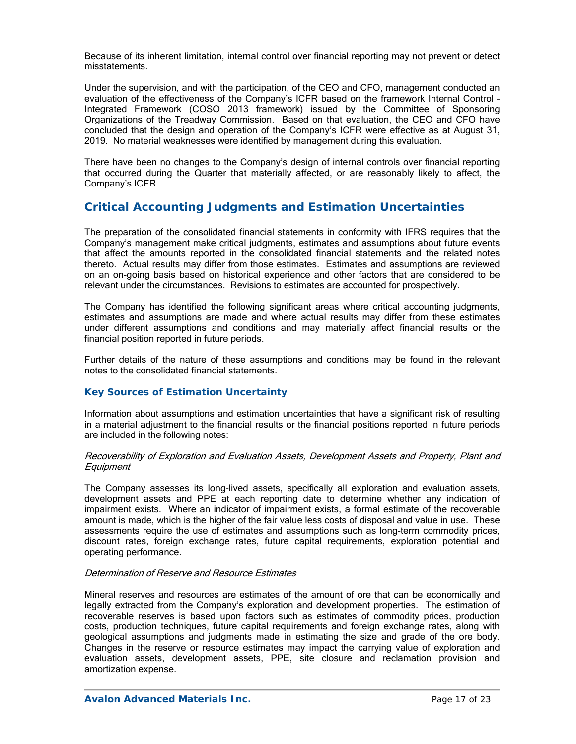Because of its inherent limitation, internal control over financial reporting may not prevent or detect misstatements.

Under the supervision, and with the participation, of the CEO and CFO, management conducted an evaluation of the effectiveness of the Company's ICFR based on the framework Internal Control – Integrated Framework (COSO 2013 framework) issued by the Committee of Sponsoring Organizations of the Treadway Commission. Based on that evaluation, the CEO and CFO have concluded that the design and operation of the Company's ICFR were effective as at August 31, 2019. No material weaknesses were identified by management during this evaluation.

There have been no changes to the Company's design of internal controls over financial reporting that occurred during the Quarter that materially affected, or are reasonably likely to affect, the Company's ICFR.

# **Critical Accounting Judgments and Estimation Uncertainties**

The preparation of the consolidated financial statements in conformity with IFRS requires that the Company's management make critical judgments, estimates and assumptions about future events that affect the amounts reported in the consolidated financial statements and the related notes thereto. Actual results may differ from those estimates. Estimates and assumptions are reviewed on an on-going basis based on historical experience and other factors that are considered to be relevant under the circumstances. Revisions to estimates are accounted for prospectively.

The Company has identified the following significant areas where critical accounting judgments, estimates and assumptions are made and where actual results may differ from these estimates under different assumptions and conditions and may materially affect financial results or the financial position reported in future periods.

Further details of the nature of these assumptions and conditions may be found in the relevant notes to the consolidated financial statements.

### *Key Sources of Estimation Uncertainty*

Information about assumptions and estimation uncertainties that have a significant risk of resulting in a material adjustment to the financial results or the financial positions reported in future periods are included in the following notes:

### Recoverability of Exploration and Evaluation Assets, Development Assets and Property, Plant and **Equipment**

The Company assesses its long-lived assets, specifically all exploration and evaluation assets, development assets and PPE at each reporting date to determine whether any indication of impairment exists. Where an indicator of impairment exists, a formal estimate of the recoverable amount is made, which is the higher of the fair value less costs of disposal and value in use. These assessments require the use of estimates and assumptions such as long-term commodity prices, discount rates, foreign exchange rates, future capital requirements, exploration potential and operating performance.

### Determination of Reserve and Resource Estimates

Mineral reserves and resources are estimates of the amount of ore that can be economically and legally extracted from the Company's exploration and development properties. The estimation of recoverable reserves is based upon factors such as estimates of commodity prices, production costs, production techniques, future capital requirements and foreign exchange rates, along with geological assumptions and judgments made in estimating the size and grade of the ore body. Changes in the reserve or resource estimates may impact the carrying value of exploration and evaluation assets, development assets, PPE, site closure and reclamation provision and amortization expense.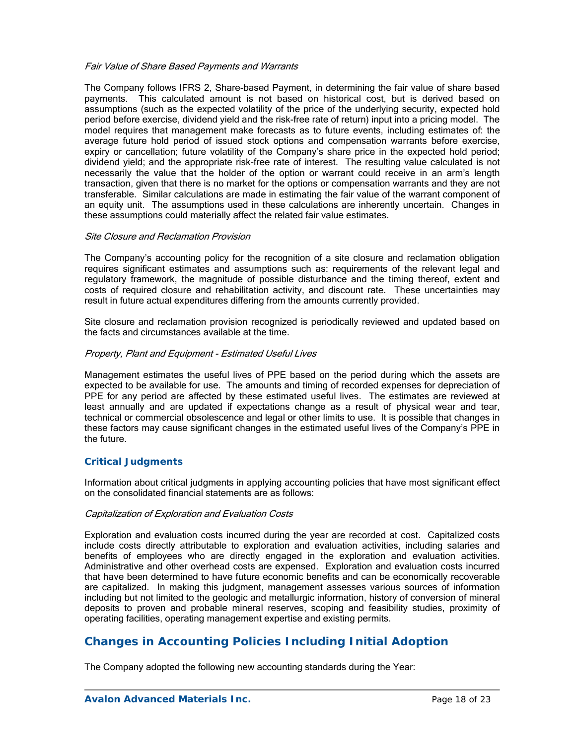### Fair Value of Share Based Payments and Warrants

The Company follows IFRS 2, Share-based Payment, in determining the fair value of share based payments. This calculated amount is not based on historical cost, but is derived based on assumptions (such as the expected volatility of the price of the underlying security, expected hold period before exercise, dividend yield and the risk-free rate of return) input into a pricing model. The model requires that management make forecasts as to future events, including estimates of: the average future hold period of issued stock options and compensation warrants before exercise, expiry or cancellation; future volatility of the Company's share price in the expected hold period; dividend yield; and the appropriate risk-free rate of interest. The resulting value calculated is not necessarily the value that the holder of the option or warrant could receive in an arm's length transaction, given that there is no market for the options or compensation warrants and they are not transferable. Similar calculations are made in estimating the fair value of the warrant component of an equity unit. The assumptions used in these calculations are inherently uncertain. Changes in these assumptions could materially affect the related fair value estimates.

#### Site Closure and Reclamation Provision

The Company's accounting policy for the recognition of a site closure and reclamation obligation requires significant estimates and assumptions such as: requirements of the relevant legal and regulatory framework, the magnitude of possible disturbance and the timing thereof, extent and costs of required closure and rehabilitation activity, and discount rate. These uncertainties may result in future actual expenditures differing from the amounts currently provided.

Site closure and reclamation provision recognized is periodically reviewed and updated based on the facts and circumstances available at the time.

### Property, Plant and Equipment - Estimated Useful Lives

Management estimates the useful lives of PPE based on the period during which the assets are expected to be available for use. The amounts and timing of recorded expenses for depreciation of PPE for any period are affected by these estimated useful lives. The estimates are reviewed at least annually and are updated if expectations change as a result of physical wear and tear, technical or commercial obsolescence and legal or other limits to use. It is possible that changes in these factors may cause significant changes in the estimated useful lives of the Company's PPE in the future.

### *Critical Judgments*

Information about critical judgments in applying accounting policies that have most significant effect on the consolidated financial statements are as follows:

#### Capitalization of Exploration and Evaluation Costs

Exploration and evaluation costs incurred during the year are recorded at cost. Capitalized costs include costs directly attributable to exploration and evaluation activities, including salaries and benefits of employees who are directly engaged in the exploration and evaluation activities. Administrative and other overhead costs are expensed. Exploration and evaluation costs incurred that have been determined to have future economic benefits and can be economically recoverable are capitalized. In making this judgment, management assesses various sources of information including but not limited to the geologic and metallurgic information, history of conversion of mineral deposits to proven and probable mineral reserves, scoping and feasibility studies, proximity of operating facilities, operating management expertise and existing permits.

## **Changes in Accounting Policies Including Initial Adoption**

The Company adopted the following new accounting standards during the Year: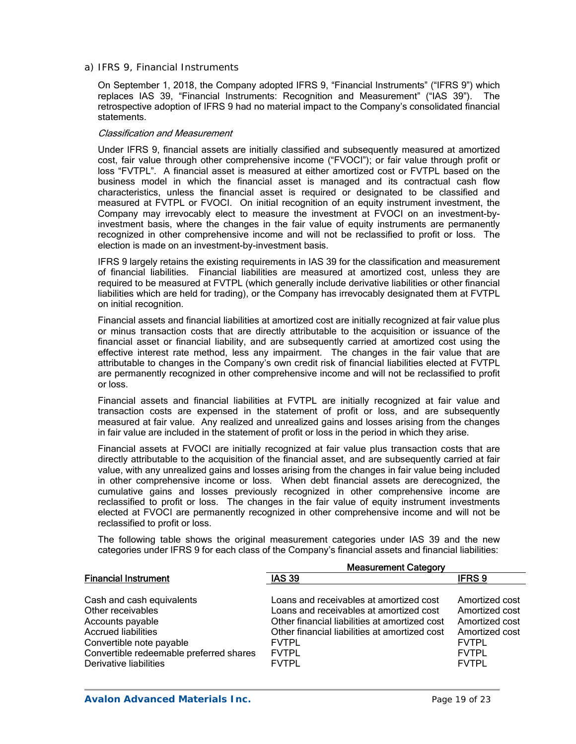*a) IFRS 9, Financial Instruments* 

On September 1, 2018, the Company adopted IFRS 9, "Financial Instruments" ("IFRS 9") which replaces IAS 39, "Financial Instruments: Recognition and Measurement" ("IAS 39"). The retrospective adoption of IFRS 9 had no material impact to the Company's consolidated financial statements.

#### Classification and Measurement

Under IFRS 9, financial assets are initially classified and subsequently measured at amortized cost, fair value through other comprehensive income ("FVOCI"); or fair value through profit or loss "FVTPL". A financial asset is measured at either amortized cost or FVTPL based on the business model in which the financial asset is managed and its contractual cash flow characteristics, unless the financial asset is required or designated to be classified and measured at FVTPL or FVOCI. On initial recognition of an equity instrument investment, the Company may irrevocably elect to measure the investment at FVOCI on an investment-byinvestment basis, where the changes in the fair value of equity instruments are permanently recognized in other comprehensive income and will not be reclassified to profit or loss. The election is made on an investment-by-investment basis.

IFRS 9 largely retains the existing requirements in IAS 39 for the classification and measurement of financial liabilities. Financial liabilities are measured at amortized cost, unless they are required to be measured at FVTPL (which generally include derivative liabilities or other financial liabilities which are held for trading), or the Company has irrevocably designated them at FVTPL on initial recognition.

Financial assets and financial liabilities at amortized cost are initially recognized at fair value plus or minus transaction costs that are directly attributable to the acquisition or issuance of the financial asset or financial liability, and are subsequently carried at amortized cost using the effective interest rate method, less any impairment. The changes in the fair value that are attributable to changes in the Company's own credit risk of financial liabilities elected at FVTPL are permanently recognized in other comprehensive income and will not be reclassified to profit or loss.

Financial assets and financial liabilities at FVTPL are initially recognized at fair value and transaction costs are expensed in the statement of profit or loss, and are subsequently measured at fair value. Any realized and unrealized gains and losses arising from the changes in fair value are included in the statement of profit or loss in the period in which they arise.

Financial assets at FVOCI are initially recognized at fair value plus transaction costs that are directly attributable to the acquisition of the financial asset, and are subsequently carried at fair value, with any unrealized gains and losses arising from the changes in fair value being included in other comprehensive income or loss. When debt financial assets are derecognized, the cumulative gains and losses previously recognized in other comprehensive income are reclassified to profit or loss. The changes in the fair value of equity instrument investments elected at FVOCI are permanently recognized in other comprehensive income and will not be reclassified to profit or loss.

The following table shows the original measurement categories under IAS 39 and the new categories under IFRS 9 for each class of the Company's financial assets and financial liabilities:

|                                         | <b>Measurement Category</b>                   |                |  |  |  |
|-----------------------------------------|-----------------------------------------------|----------------|--|--|--|
| <b>Financial Instrument</b>             | <b>IAS 39</b>                                 | <b>IFRS 9</b>  |  |  |  |
|                                         |                                               |                |  |  |  |
| Cash and cash equivalents               | Loans and receivables at amortized cost       | Amortized cost |  |  |  |
| Other receivables                       | Loans and receivables at amortized cost       | Amortized cost |  |  |  |
| Accounts payable                        | Other financial liabilities at amortized cost | Amortized cost |  |  |  |
| <b>Accrued liabilities</b>              | Other financial liabilities at amortized cost | Amortized cost |  |  |  |
| Convertible note payable                | <b>FVTPL</b>                                  | <b>FVTPL</b>   |  |  |  |
| Convertible redeemable preferred shares | <b>FVTPL</b>                                  | <b>FVTPL</b>   |  |  |  |
| Derivative liabilities                  | <b>FVTPL</b>                                  | <b>FVTPL</b>   |  |  |  |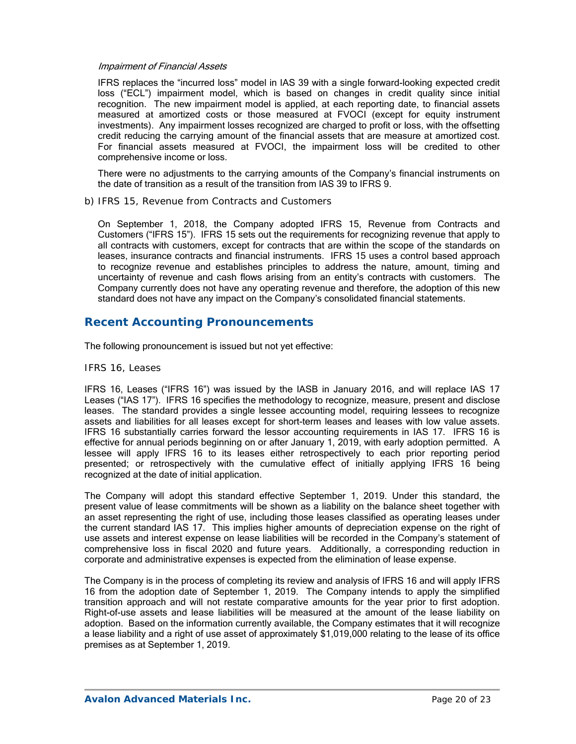#### Impairment of Financial Assets

IFRS replaces the "incurred loss" model in IAS 39 with a single forward-looking expected credit loss ("ECL") impairment model, which is based on changes in credit quality since initial recognition. The new impairment model is applied, at each reporting date, to financial assets measured at amortized costs or those measured at FVOCI (except for equity instrument investments). Any impairment losses recognized are charged to profit or loss, with the offsetting credit reducing the carrying amount of the financial assets that are measure at amortized cost. For financial assets measured at FVOCI, the impairment loss will be credited to other comprehensive income or loss.

There were no adjustments to the carrying amounts of the Company's financial instruments on the date of transition as a result of the transition from IAS 39 to IFRS 9.

#### *b) IFRS 15, Revenue from Contracts and Customers*

On September 1, 2018, the Company adopted IFRS 15, Revenue from Contracts and Customers ("IFRS 15"). IFRS 15 sets out the requirements for recognizing revenue that apply to all contracts with customers, except for contracts that are within the scope of the standards on leases, insurance contracts and financial instruments. IFRS 15 uses a control based approach to recognize revenue and establishes principles to address the nature, amount, timing and uncertainty of revenue and cash flows arising from an entity's contracts with customers. The Company currently does not have any operating revenue and therefore, the adoption of this new standard does not have any impact on the Company's consolidated financial statements.

## **Recent Accounting Pronouncements**

The following pronouncement is issued but not yet effective:

#### *IFRS 16, Leases*

IFRS 16, Leases ("IFRS 16") was issued by the IASB in January 2016, and will replace IAS 17 Leases ("IAS 17"). IFRS 16 specifies the methodology to recognize, measure, present and disclose leases. The standard provides a single lessee accounting model, requiring lessees to recognize assets and liabilities for all leases except for short-term leases and leases with low value assets. IFRS 16 substantially carries forward the lessor accounting requirements in IAS 17. IFRS 16 is effective for annual periods beginning on or after January 1, 2019, with early adoption permitted. A lessee will apply IFRS 16 to its leases either retrospectively to each prior reporting period presented; or retrospectively with the cumulative effect of initially applying IFRS 16 being recognized at the date of initial application.

The Company will adopt this standard effective September 1, 2019. Under this standard, the present value of lease commitments will be shown as a liability on the balance sheet together with an asset representing the right of use, including those leases classified as operating leases under the current standard IAS 17. This implies higher amounts of depreciation expense on the right of use assets and interest expense on lease liabilities will be recorded in the Company's statement of comprehensive loss in fiscal 2020 and future years. Additionally, a corresponding reduction in corporate and administrative expenses is expected from the elimination of lease expense.

The Company is in the process of completing its review and analysis of IFRS 16 and will apply IFRS 16 from the adoption date of September 1, 2019. The Company intends to apply the simplified transition approach and will not restate comparative amounts for the year prior to first adoption. Right-of-use assets and lease liabilities will be measured at the amount of the lease liability on adoption. Based on the information currently available, the Company estimates that it will recognize a lease liability and a right of use asset of approximately \$1,019,000 relating to the lease of its office premises as at September 1, 2019.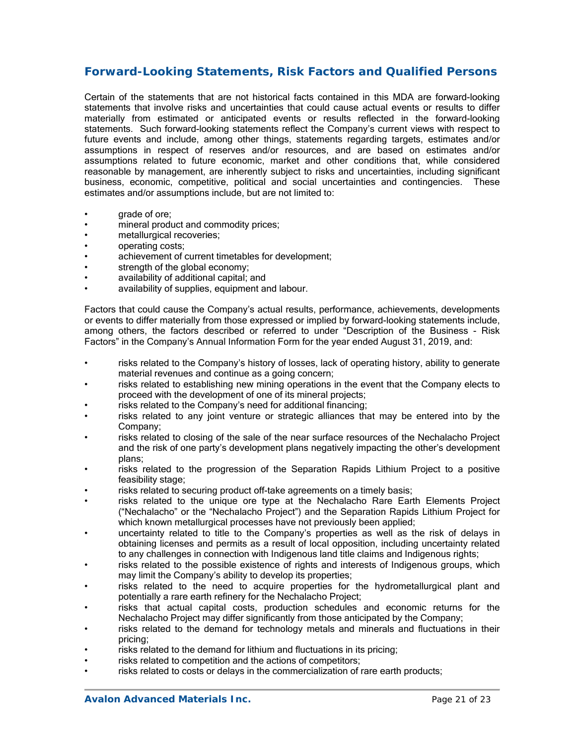# **Forward-Looking Statements, Risk Factors and Qualified Persons**

Certain of the statements that are not historical facts contained in this MDA are forward-looking statements that involve risks and uncertainties that could cause actual events or results to differ materially from estimated or anticipated events or results reflected in the forward-looking statements. Such forward-looking statements reflect the Company's current views with respect to future events and include, among other things, statements regarding targets, estimates and/or assumptions in respect of reserves and/or resources, and are based on estimates and/or assumptions related to future economic, market and other conditions that, while considered reasonable by management, are inherently subject to risks and uncertainties, including significant business, economic, competitive, political and social uncertainties and contingencies. These estimates and/or assumptions include, but are not limited to:

- grade of ore:
- mineral product and commodity prices;
- metallurgical recoveries;
- operating costs;
- achievement of current timetables for development;
- strength of the global economy;
- availability of additional capital; and
- availability of supplies, equipment and labour.

Factors that could cause the Company's actual results, performance, achievements, developments or events to differ materially from those expressed or implied by forward-looking statements include, among others, the factors described or referred to under "Description of the Business - Risk Factors" in the Company's Annual Information Form for the year ended August 31, 2019, and:

- risks related to the Company's history of losses, lack of operating history, ability to generate material revenues and continue as a going concern;
- risks related to establishing new mining operations in the event that the Company elects to proceed with the development of one of its mineral projects;
- risks related to the Company's need for additional financing;
- risks related to any joint venture or strategic alliances that may be entered into by the Company;
- risks related to closing of the sale of the near surface resources of the Nechalacho Project and the risk of one party's development plans negatively impacting the other's development plans;
- risks related to the progression of the Separation Rapids Lithium Project to a positive feasibility stage;
- risks related to securing product off-take agreements on a timely basis;
- risks related to the unique ore type at the Nechalacho Rare Earth Elements Project ("Nechalacho" or the "Nechalacho Project") and the Separation Rapids Lithium Project for which known metallurgical processes have not previously been applied;
- uncertainty related to title to the Company's properties as well as the risk of delays in obtaining licenses and permits as a result of local opposition, including uncertainty related to any challenges in connection with Indigenous land title claims and Indigenous rights;
- risks related to the possible existence of rights and interests of Indigenous groups, which may limit the Company's ability to develop its properties;
- risks related to the need to acquire properties for the hydrometallurgical plant and potentially a rare earth refinery for the Nechalacho Project;
- risks that actual capital costs, production schedules and economic returns for the Nechalacho Project may differ significantly from those anticipated by the Company;
- risks related to the demand for technology metals and minerals and fluctuations in their pricing;
- risks related to the demand for lithium and fluctuations in its pricing;
- risks related to competition and the actions of competitors;
- risks related to costs or delays in the commercialization of rare earth products;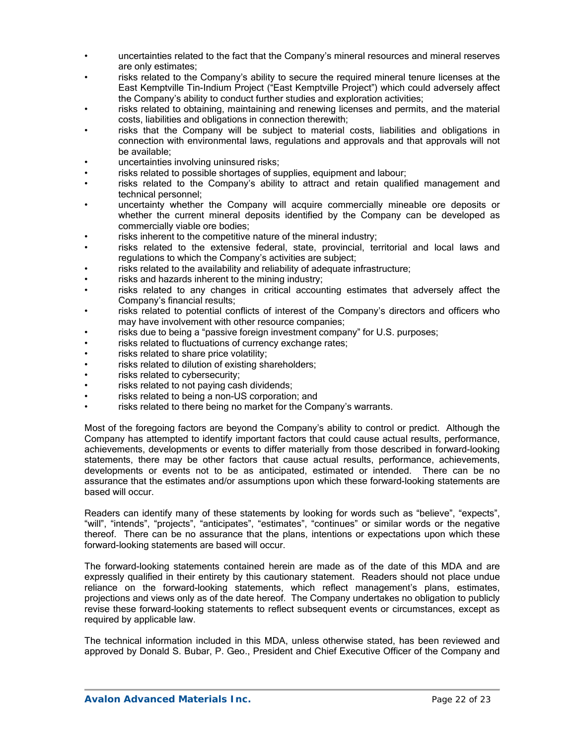- uncertainties related to the fact that the Company's mineral resources and mineral reserves are only estimates;
- risks related to the Company's ability to secure the required mineral tenure licenses at the East Kemptville Tin-Indium Project ("East Kemptville Project") which could adversely affect the Company's ability to conduct further studies and exploration activities;
- risks related to obtaining, maintaining and renewing licenses and permits, and the material costs, liabilities and obligations in connection therewith;
- risks that the Company will be subject to material costs, liabilities and obligations in connection with environmental laws, regulations and approvals and that approvals will not be available;
- uncertainties involving uninsured risks;
- risks related to possible shortages of supplies, equipment and labour;
- risks related to the Company's ability to attract and retain qualified management and technical personnel;
- uncertainty whether the Company will acquire commercially mineable ore deposits or whether the current mineral deposits identified by the Company can be developed as commercially viable ore bodies;
- risks inherent to the competitive nature of the mineral industry;
- risks related to the extensive federal, state, provincial, territorial and local laws and regulations to which the Company's activities are subject;
- risks related to the availability and reliability of adequate infrastructure;
- risks and hazards inherent to the mining industry;
- risks related to any changes in critical accounting estimates that adversely affect the Company's financial results;
- risks related to potential conflicts of interest of the Company's directors and officers who may have involvement with other resource companies;
- risks due to being a "passive foreign investment company" for U.S. purposes;
- risks related to fluctuations of currency exchange rates;
- risks related to share price volatility;
- risks related to dilution of existing shareholders;
- risks related to cybersecurity;
- risks related to not paying cash dividends;
- risks related to being a non-US corporation; and
- risks related to there being no market for the Company's warrants.

Most of the foregoing factors are beyond the Company's ability to control or predict. Although the Company has attempted to identify important factors that could cause actual results, performance, achievements, developments or events to differ materially from those described in forward-looking statements, there may be other factors that cause actual results, performance, achievements, developments or events not to be as anticipated, estimated or intended. There can be no assurance that the estimates and/or assumptions upon which these forward-looking statements are based will occur.

Readers can identify many of these statements by looking for words such as "believe", "expects", "will", "intends", "projects", "anticipates", "estimates", "continues" or similar words or the negative thereof. There can be no assurance that the plans, intentions or expectations upon which these forward-looking statements are based will occur.

The forward-looking statements contained herein are made as of the date of this MDA and are expressly qualified in their entirety by this cautionary statement. Readers should not place undue reliance on the forward-looking statements, which reflect management's plans, estimates, projections and views only as of the date hereof. The Company undertakes no obligation to publicly revise these forward-looking statements to reflect subsequent events or circumstances, except as required by applicable law.

The technical information included in this MDA, unless otherwise stated, has been reviewed and approved by Donald S. Bubar, P. Geo., President and Chief Executive Officer of the Company and